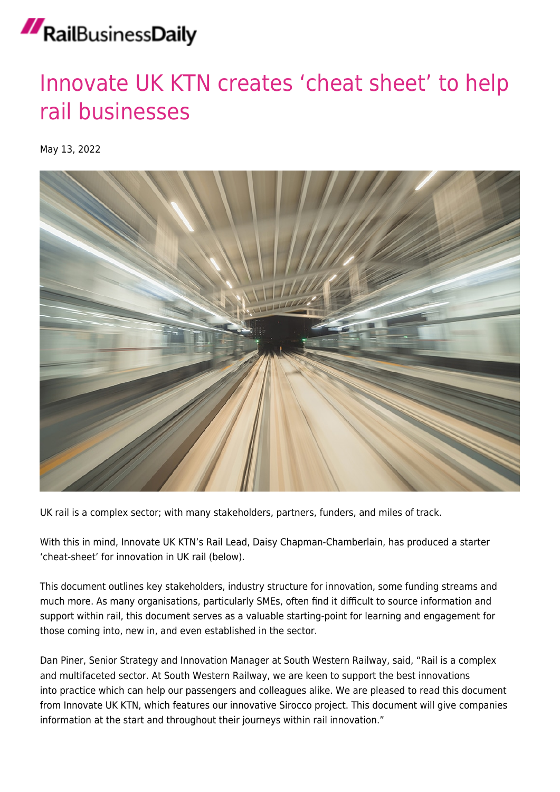## RailBusinessDaily

## [Innovate UK KTN creates 'cheat sheet' to help](https://news.railbusinessdaily.com/innovate-uk-launches-its-cheat-sheet-for-new-ways-of-working/) [rail businesses](https://news.railbusinessdaily.com/innovate-uk-launches-its-cheat-sheet-for-new-ways-of-working/)

May 13, 2022



UK rail is a complex sector; with many stakeholders, partners, funders, and miles of track.

With this in mind, Innovate UK KTN's Rail Lead, Daisy Chapman-Chamberlain, has produced a starter 'cheat-sheet' for innovation in UK rail (below).

This document outlines key stakeholders, industry structure for innovation, some funding streams and much more. As many organisations, particularly SMEs, often find it difficult to source information and support within rail, this document serves as a valuable starting-point for learning and engagement for those coming into, new in, and even established in the sector.

Dan Piner, Senior Strategy and Innovation Manager at South Western Railway, said, "Rail is a complex and multifaceted sector. At South Western Railway, we are keen to support the best innovations into practice which can help our passengers and colleagues alike. We are pleased to read this document from Innovate UK KTN, which features our innovative Sirocco project. This document will give companies information at the start and throughout their journeys within rail innovation."